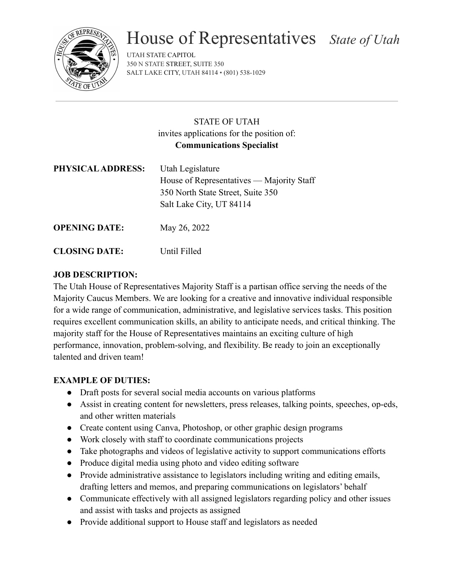

# House of Representatives *State of Utah*

UTAH STATE CAPITOL 350 N STATE STREET, SUITE 350 SALT LAKE CITY, UTAH 84114 • (801) 538-1029

### STATE OF UTAH invites applications for the position of: **Communications Specialist**

| PHYSICAL ADDRESS:    | Utah Legislature<br>House of Representatives — Majority Staff |
|----------------------|---------------------------------------------------------------|
|                      | 350 North State Street, Suite 350<br>Salt Lake City, UT 84114 |
| <b>OPENING DATE:</b> | May 26, 2022                                                  |

## **CLOSING DATE:** Until Filled

#### **JOB DESCRIPTION:**

The Utah House of Representatives Majority Staff is a partisan office serving the needs of the Majority Caucus Members. We are looking for a creative and innovative individual responsible for a wide range of communication, administrative, and legislative services tasks. This position requires excellent communication skills, an ability to anticipate needs, and critical thinking. The majority staff for the House of Representatives maintains an exciting culture of high performance, innovation, problem-solving, and flexibility. Be ready to join an exceptionally talented and driven team!

#### **EXAMPLE OF DUTIES:**

- Draft posts for several social media accounts on various platforms
- Assist in creating content for newsletters, press releases, talking points, speeches, op-eds, and other written materials
- Create content using Canva, Photoshop, or other graphic design programs
- Work closely with staff to coordinate communications projects
- Take photographs and videos of legislative activity to support communications efforts
- Produce digital media using photo and video editing software
- Provide administrative assistance to legislators including writing and editing emails, drafting letters and memos, and preparing communications on legislators' behalf
- Communicate effectively with all assigned legislators regarding policy and other issues and assist with tasks and projects as assigned
- Provide additional support to House staff and legislators as needed